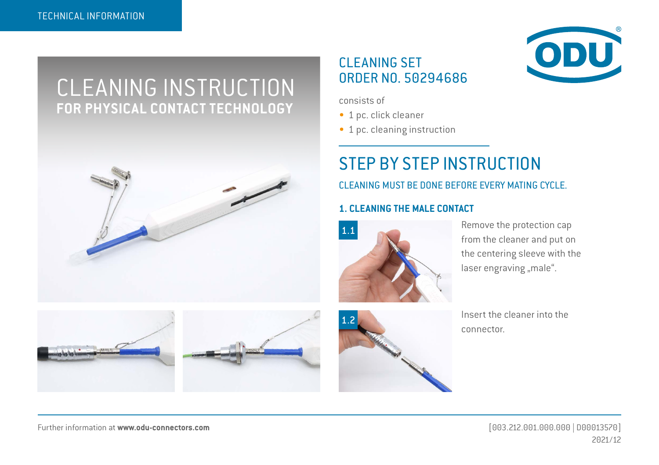# CLEANING INSTRUCTION **FOR PHYSICAL CONTACT TECHNOLOGY**



### CLEANING SET ORDER NO. 50294686



- 1 pc. click cleaner
- 1 pc. cleaning instruction

## STEP BY STEP INSTRUCTION

CLEANING MUST BE DONE BEFORE EVERY MATING CYCLE.

#### **1. CLEANING THE MALE CONTACT**



Remove the protection cap from the cleaner and put on the centering sleeve with the laser engraving "male".





Insert the cleaner into the connector.

Further information at **[www.odu-connectors.com](http://www.odu-connectors.com)** [003.212.001.000.000 | D00013570]